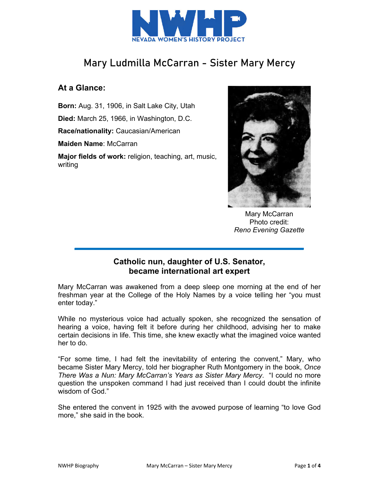

# Mary Ludmilla McCarran - Sister Mary Mercy

## **At a Glance:**

**Born:** Aug. 31, 1906, in Salt Lake City, Utah **Died:** March 25, 1966, in Washington, D.C. **Race/nationality:** Caucasian/American **Maiden Name**: McCarran **Major fields of work:** religion, teaching, art, music, writing



Mary McCarran Photo credit: *Reno Evening Gazette*

## **Catholic nun, daughter of U.S. Senator, became international art expert**

Mary McCarran was awakened from a deep sleep one morning at the end of her freshman year at the College of the Holy Names by a voice telling her "you must enter today."

While no mysterious voice had actually spoken, she recognized the sensation of hearing a voice, having felt it before during her childhood, advising her to make certain decisions in life. This time, she knew exactly what the imagined voice wanted her to do.

"For some time, I had felt the inevitability of entering the convent," Mary, who became Sister Mary Mercy, told her biographer Ruth Montgomery in the book, *Once There Was a Nun: Mary McCarran's Years as Sister Mary Mercy*. "I could no more question the unspoken command I had just received than I could doubt the infinite wisdom of God."

She entered the convent in 1925 with the avowed purpose of learning "to love God more," she said in the book.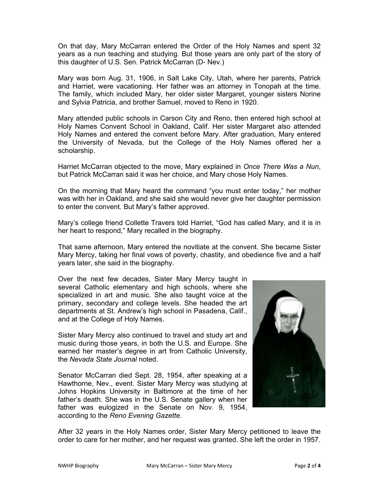On that day, Mary McCarran entered the Order of the Holy Names and spent 32 years as a nun teaching and studying. But those years are only part of the story of this daughter of U.S. Sen. Patrick McCarran (D- Nev.)

Mary was born Aug. 31, 1906, in Salt Lake City, Utah, where her parents, Patrick and Harriet, were vacationing. Her father was an attorney in Tonopah at the time. The family, which included Mary, her older sister Margaret, younger sisters Norine and Sylvia Patricia, and brother Samuel, moved to Reno in 1920.

Mary attended public schools in Carson City and Reno, then entered high school at Holy Names Convent School in Oakland, Calif. Her sister Margaret also attended Holy Names and entered the convent before Mary. After graduation, Mary entered the University of Nevada, but the College of the Holy Names offered her a scholarship.

Harriet McCarran objected to the move, Mary explained in *Once There Was a Nun*, but Patrick McCarran said it was her choice, and Mary chose Holy Names.

On the morning that Mary heard the command "you must enter today," her mother was with her in Oakland, and she said she would never give her daughter permission to enter the convent. But Mary's father approved.

Mary's college friend Collette Travers told Harriet, "God has called Mary, and it is in her heart to respond," Mary recalled in the biography.

That same afternoon, Mary entered the novitiate at the convent. She became Sister Mary Mercy, taking her final vows of poverty, chastity, and obedience five and a half years later, she said in the biography.

Over the next few decades, Sister Mary Mercy taught in several Catholic elementary and high schools, where she specialized in art and music. She also taught voice at the primary, secondary and college levels. She headed the art departments at St. Andrew's high school in Pasadena, Calif., and at the College of Holy Names.

Sister Mary Mercy also continued to travel and study art and music during those years, in both the U.S. and Europe. She earned her master's degree in art from Catholic University, the *Nevada State Journal* noted.

Senator McCarran died Sept. 28, 1954, after speaking at a Hawthorne, Nev., event. Sister Mary Mercy was studying at Johns Hopkins University in Baltimore at the time of her father's death. She was in the U.S. Senate gallery when her father was eulogized in the Senate on Nov. 9, 1954, according to the *Reno Evening Gazette*.



After 32 years in the Holy Names order, Sister Mary Mercy petitioned to leave the order to care for her mother, and her request was granted. She left the order in 1957.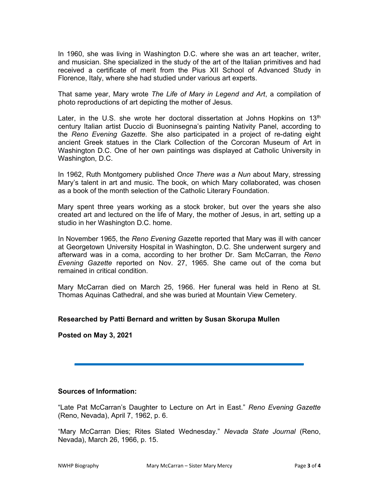In 1960, she was living in Washington D.C. where she was an art teacher, writer, and musician. She specialized in the study of the art of the Italian primitives and had received a certificate of merit from the Pius XII School of Advanced Study in Florence, Italy, where she had studied under various art experts.

That same year, Mary wrote *The Life of Mary in Legend and Art*, a compilation of photo reproductions of art depicting the mother of Jesus.

Later, in the U.S. she wrote her doctoral dissertation at Johns Hopkins on 13<sup>th</sup> century Italian artist Duccio di Buoninsegna's painting Nativity Panel, according to the *Reno Evening Gazette*. She also participated in a project of re-dating eight ancient Greek statues in the Clark Collection of the Corcoran Museum of Art in Washington D.C. One of her own paintings was displayed at Catholic University in Washington, D.C.

In 1962, Ruth Montgomery published *Once There was a Nun* about Mary, stressing Mary's talent in art and music. The book, on which Mary collaborated, was chosen as a book of the month selection of the Catholic Literary Foundation.

Mary spent three years working as a stock broker, but over the years she also created art and lectured on the life of Mary, the mother of Jesus, in art, setting up a studio in her Washington D.C. home.

In November 1965, the *Reno Evening Ga*zette reported that Mary was ill with cancer at Georgetown University Hospital in Washington, D.C. She underwent surgery and afterward was in a coma, according to her brother Dr. Sam McCarran, the *Reno Evening Gazette* reported on Nov. 27, 1965. She came out of the coma but remained in critical condition.

Mary McCarran died on March 25, 1966. Her funeral was held in Reno at St. Thomas Aquinas Cathedral, and she was buried at Mountain View Cemetery.

### **Researched by Patti Bernard and written by Susan Skorupa Mullen**

**Posted on May 3, 2021** 

#### **Sources of Information:**

"Late Pat McCarran's Daughter to Lecture on Art in East." *Reno Evening Gazette* (Reno, Nevada), April 7, 1962, p. 6.

"Mary McCarran Dies; Rites Slated Wednesday." *Nevada State Journal* (Reno, Nevada), March 26, 1966, p. 15.